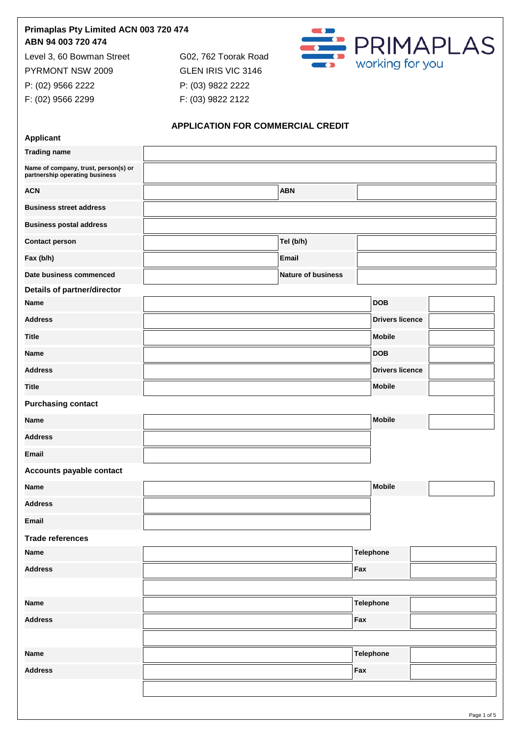## **Primaplas Pty Limited ACN 003 720 474 ABN 94 003 720 474**

Level 3, 60 Bowman Street G02, 762 Toorak Road PYRMONT NSW 2009 GLEN IRIS VIC 3146

P: (02) 9566 2222 P: (03) 9822 2222 F: (02) 9566 2299 F: (03) 9822 2122



## **APPLICATION FOR COMMERCIAL CREDIT**

| <b>Applicant</b>                                                       |                           |                  |                        |
|------------------------------------------------------------------------|---------------------------|------------------|------------------------|
| <b>Trading name</b>                                                    |                           |                  |                        |
| Name of company, trust, person(s) or<br>partnership operating business |                           |                  |                        |
| <b>ACN</b>                                                             | <b>ABN</b>                |                  |                        |
| <b>Business street address</b>                                         |                           |                  |                        |
| <b>Business postal address</b>                                         |                           |                  |                        |
| <b>Contact person</b>                                                  | Tel (b/h)                 |                  |                        |
| Fax (b/h)                                                              | <b>Email</b>              |                  |                        |
| Date business commenced                                                | <b>Nature of business</b> |                  |                        |
| <b>Details of partner/director</b>                                     |                           |                  |                        |
| <b>Name</b>                                                            |                           |                  | <b>DOB</b>             |
| <b>Address</b>                                                         |                           |                  | <b>Drivers licence</b> |
| <b>Title</b>                                                           |                           |                  | <b>Mobile</b>          |
| <b>Name</b>                                                            |                           |                  | <b>DOB</b>             |
| <b>Address</b>                                                         |                           |                  | <b>Drivers licence</b> |
| <b>Title</b>                                                           |                           |                  | <b>Mobile</b>          |
| <b>Purchasing contact</b>                                              |                           |                  |                        |
| Name                                                                   |                           |                  | <b>Mobile</b>          |
| <b>Address</b>                                                         |                           |                  |                        |
| <b>Email</b>                                                           |                           |                  |                        |
| Accounts payable contact                                               |                           |                  |                        |
| <b>Name</b>                                                            |                           |                  | <b>Mobile</b>          |
| <b>Address</b>                                                         |                           |                  |                        |
| <b>Email</b>                                                           |                           |                  |                        |
| <b>Trade references</b>                                                |                           |                  |                        |
| <b>Name</b>                                                            |                           | <b>Telephone</b> |                        |
| <b>Address</b>                                                         |                           | Fax              |                        |
|                                                                        |                           |                  |                        |
| <b>Name</b>                                                            | <b>Telephone</b>          |                  |                        |
| <b>Address</b>                                                         | Fax                       |                  |                        |
|                                                                        |                           |                  |                        |
| <b>Name</b>                                                            | <b>Telephone</b>          |                  |                        |
| <b>Address</b>                                                         | Fax                       |                  |                        |
|                                                                        |                           |                  |                        |
|                                                                        |                           |                  |                        |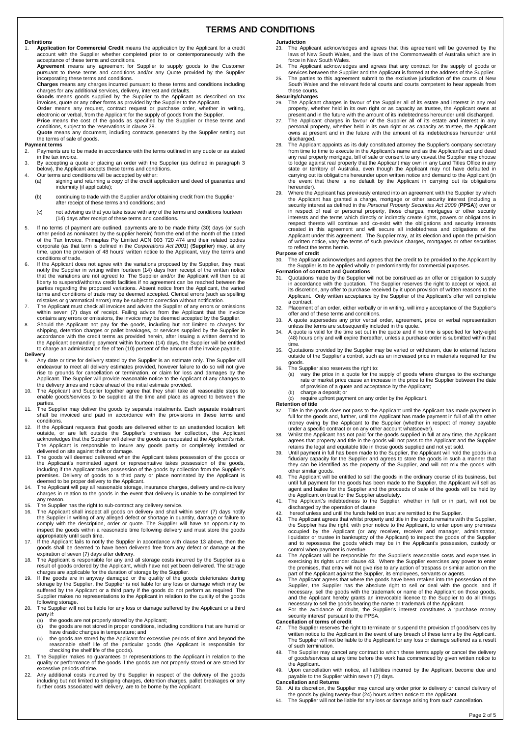### **TERMS AND CONDITIONS**

### **Definitions**

- 1. **Application for Commercial Credit** means the application by the Applicant for a credit account with the Supplier whether completed prior to or contemporaneously with the
- acceptance of these terms and conditions. **Agreement** means any agreement for Supplier to supply goods to the Customer pursuant to these terms and conditions and/or any Quote provided by the Supplier incorporating these terms and conditions.<br> **Charges** means any charges incurred pursuant to these terms and conditions including<br> **Charges** means any charges incurred pursuant to these terms and conditions including
- 
- **Charges** means any charges incurred pursuant to these terms and conditions including<br>charges for any additional services, delivery, interest and defaults.<br>**Goods** means goods supplied by the Supplier to the Applicant as d
- electronic or verbal, from the Applicant for the supply of goods from the Supplier. **Price** means the cost of the goods as specified by the Supplier or these terms and
- conditions, subject to the reservations in clause 28. **Quote** means any document, including contracts generated by the Supplier setting out the terms of sale of goods.

# **Payment terms**<br>2 **Payments**

- 2. Payments are to be made in accordance with the terms outlined in any quote or as stated in the tax invoice.
- 3. By accepting a quote or placing an order with the Supplier (as defined in paragraph 3 below), the Applicant accepts these terms and conditions.
- 4. Our terms and conditions will be accepted by either:<br>(a) signing and returning a copy of the credit apsigning and returning a copy of the credit application and deed of guarantee and indemnity (if applicable);
	- (b) continuing to trade with the Supplier and/or obtaining credit from the Supplier after receipt of these terms and conditions; and
	- (c) not advising us that you take issue with any of the terms and conditions fourteen (14) days after receipt of these terms and conditions.
- 5. If no terms of payment are outlined, payments are to be made thirty (30) days (or such other period as nominated by the supplier herein) from the end of the month of the dated of the Tax Invoice. Primaplas Pty Limited ACN 003 720 474 and their related bodies corporate (as that term is defined in the *Corporations Act 2001*) (**Supplier**) may, at any time, upon the provision of 48 hours' written notice to the Applicant, vary the terms and conditions of trade.
- 6. If the Applicant does not agree with the variations proposed by the Supplier, they must notify the Supplier in writing within fourteen (14) days from receipt of the written notice that the variations are not agreed to. The Supplier and/or the Applicant will then be at liberty to suspend/withdraw credit facilities if no agreement can be reached between the parties regarding the proposed variations. Absent notice from the Applicant, the varied<br>terms and conditions of trade may be deemed accepted. Clerical errors (such as spelling<br>mistakes or grammatical errors) may be subject
- 7. The Applicant must check all invoices and advise the Supplier of any errors or omissions<br>within seven (7) days of receipt. Failing advice from the Applicant that the invoice<br>contains any errors or omissions, the invoice
- shipping, detention charges or pallet breakages, or services supplied by the Supplier in<br>accordance with the credit terms as provided herein, after issuing a written demand to<br>the Applicant demanding payment within fourtee

#### **Delivery**

- Any date or time for delivery stated by the Supplier is an estimate only. The Supplier will endeavour to meet all delivery estimates provided, however failure to do so will not give rise to grounds for cancellation or termination, or claim for loss and damages by the Applicant. The Supplier will provide reasonable notice to the Applicant of any changes to
- the delivery times and notice ahead of the initial estimate provided. 10. The Applicant and Supplier together agree that they shall take all reasonable steps to enable goods/services to be supplied at the time and place as agreed to between the parties.
- 11. The Supplier may deliver the goods by separate instalments. Each separate instalment shall be invoiced and paid in accordance with the provisions in these terms and conditions.
- If the Applicant requests that goods are delivered either to an unattended location, left outside, or are left outside the Supplier's premises for collection, the Applicant<br>acknowledges that the Supplier will deliver the goods as requested at the Applicant's risk.<br>The Applicant is responsible to insure any good delivered on site against theft or damage.
- 13. The goods will deemed delivered when the Applicant takes possession of the goods or the Applicant's nominated agent or representative takes possession of the goods, including if the Applicant takes possession of the goods by collection from the Supplier's premises. Delivery of goods to a third party or place nominated by the Applicant is deemed to be proper delivery to the Applicant.
- 14. The Applicant will pay all reasonable storage, insurance charges, delivery and re-delivery charges in relation to the goods in the event that delivery is unable to be completed for any reason.
- 
- 15. The Supplier has the right to sub-contract any delivery service. 16. The Applicant shall inspect all goods on delivery and shall within seven (7) days notify the Supplier in writing of any alleged defect or shortage in quantity, damage or failure to comply with the description, order or quote. The Supplier will have an opportunity to inspect the goods within a reasonable time following delivery and must store the goods appropriately until such time.
- 17. If the Applicant fails to notify the Supplier in accordance with clause 13 above, then the goods shall be deemed to have been delivered free from any defect or damage at the
- expiration of seven (7) days after delivery. 18. The Applicant is responsible for any and all storage costs incurred by the Supplier as a result of goods ordered by the Applicant, which have not yet been delivered. The storage charges are applicable for the duration of storage by the Supplier.
- 19. If the goods are in anyway damaged or the quality of the goods deteriorates during<br>storage by the Supplier, the Supplier is not liable for any loss or damage which may be<br>suffered by the Applicant or a third party if t Supplier makes no representations to the Applicant in relation to the quality of the goods following storage.
- 20. The Supplier will not be liable for any loss or damage suffered by the Applicant or a third party if:<br> $(a)$  th
	-
	- (a) the goods are not properly stored by the Applicant; (b) the goods are not stored in proper conditions, including conditions that are humid or have drastic changes in temperature; and
- (c) the goods are stored by the Applicant for excessive periods of time and beyond the reasonable shelf life of the particular goods (the Applicant is responsible for checking the shelf life of the goods). 21. The Supplier makes no guarantees or representations to the Applicant in relation to the
- quality or performance of the goods if the goods are not properly stored or are stored for excessive periods of time.
- 22. Any additional costs incurred by the Supplier in respect of the delivery of the goods<br>including but not limited to shipping charges, detention charges, pallet breakages or any<br>further costs associated with delivery, ar

### **Jurisdiction**

- The Applicant acknowledges and agrees that this agreement will be governed by the laws of New South Wales, and the laws of the Commonwealth of Australia which are in force in New South Wales.
- The Applicant acknowledges and agrees that any contract for the supply of goods or
- services between the Supplier and the Applicant is formed at the address of the Supplier. 25. The parties to this agreement submit to the exclusive jurisdiction of the courts of New South Wales and the relevant federal courts and courts competent to hear appeals from those courts.

### **Security/charges**<br>26 The Applicar

- 26. The Applicant charges in favour of the Supplier all of its estate and interest in any real property, whether held in its own right or as capacity as trustee, the Applicant owns at
- present and in the future with the amount of its indebtedness hereunder until discharged. 27. The Applicant charges in favour of the Supplier all of its estate and interest in any personal property, whether held in its own right or as capacity as trustee, the Applicant owns at present and in the future with the amount of its indebtedness hereunder until discharged.
- The Applicant appoints as its duly constituted attorney the Supplier's company secretary from time to time to execute in the Applicant's name and as the Applicant's act and deed any real property mortgage, bill of sale or consent to any caveat the Supplier may choose to lodge against real property that the Applicant may own in any Land Titles Office in any state or territory of Australia, even though the Applicant may not have defaulted in carrying out its obligations hereunder upon written notice and demand to the Applicant (in the event that there is no default by the Applicant in carrying out its obligations hereunder).
- 29. Where the Applicant has previously entered into an agreement with the Supplier by which<br>the Applicant has granted a charge, mortgage or other security interest (including a<br>security interest as defined in the *Personal* in respect of real or personal property, those charges, mortgages or other security interests and the terms which directly or indirectly create rights, powers or obligations in<br>respect thereto will continue and co-exist with the obligations and security interests<br>created in this agreement and will secure Applicant under this agreement. The Supplier may, at its election and upon the provision of written notice, vary the terms of such previous charges, mortgages or other securities to reflect the terms herein.
- **Purpose of credit**<br>30 The Applican

30. The Applicant acknowledges and agrees that the credit to be provided to the Applicant by the Supplier is to be applied wholly or predominantly for commercial purposes.

- Formation of contract and Quotations<br>31. Quotations made by the Supplier will not be construed as an offer or obligation to supply<br>in accordance with the quotation. The Supplier reserves the right to accept or reject, at<br>i Applicant. Only written acceptance by the Supplier of the Applicant's offer will complete
- a contract. 32. Placement of an order, either verbally or in writing, will imply acceptance of the Supplier's offer and of these terms and conditions.
- 33. A quote supersedes any prior verbal order, agreement, price or verbal representation<br>unless the terms are subsequently included in the quote.<br>34. A quote is valid for the time set out in the quote and if no time is spe
- (48) hours only and will expire thereafter, unless a purchase order is submitted within that
- time. 35. Quotations provided by the Supplier may be varied or withdrawn, due to external factors outside of the Supplier's control, such as an increased price in materials required for the goods. 36. The Supplier also reserves the right to:
- - (a) vary the price in a quote for the supply of goods where changes to the exchange rate or market price cause an increase in the price to the Supplier between the date of provision of a quote and acceptance by the Applicant;
	- (b) charge a deposit; or<br>(c) require upfront paym
- require upfront payment on any order by the Applicant.

**Retention of title**

- Title in the goods does not pass to the Applicant until the Applicant has made payment in full for the goods and, further, until the Applicant has made payment in full of all the other money owing by the Applicant to the Supplier (whether in respect of money payable
- under a specific contract or on any other account whatsoever). 38. Whilst the Applicant has not paid for the goods supplied in full at any time, the Applicant
- agrees that property and title in the goods will not pass to the Applicant and the Supplier<br>retains the legal and equitable title in those goods supplied and not yet sold.<br>39. Until payment in full has been made to the Sup other similar goods.
- 40. The Applicant will be entitled to sell the goods in the ordinary course of its business, but until full payment for the goods has been made to the Supplier, the Applicant will sell as agent and bailee for the Supplier and the proceeds of sale of the goods will be held by
- the Applicant on trust for the Supplier absolutely. 41. The Applicant's indebtedness to the Supplier, whether in full or in part, will not be
- discharged by the operation of clause 42. hereof unless and until the funds held on trust are remitted to the Supplier.
- <span id="page-1-0"></span>43. The Applicant agrees that whilst property and title in the goods remains with the Supplier, the Supplier has the right, with prior notice to the Applicant, to enter upon any premises occupied by the Applicant (or any receiver, receiver and manager, administrator,<br>liquidator or trustee in bankruptcy of the Applicant) to inspect the goods of the Supplier<br>and to repossess the goods which may be in the App
- <span id="page-1-1"></span>control when payment is overdue. 44. The Applicant will be responsible for the Supplier's reasonable costs and expenses in exercising its rights under clause [43.](#page-1-0) Where the Supplier exercises any power to enter<br>the premises, that entry will not give rise to any action of trespass or similar action on the<br>part of the Applicant against the Suppli
- Supplier, the Supplier has the absolute right to sell or deal with the goods, and if necessary, sell the goods with the trademark or name of the Applicant on those goods, and the Applicant hereby grants an irrevocable licence to the Supplier to do all things<br>necessary to sell the goods bearing the name or trademark of the Applicant.<br>46. For the avoidance of doubt, the Supplier's interest co
- 
- security interest' pursuant to the PPSA. **Cancellation of terms of credit**
- 47. The Supplier reserves the right to terminate or suspend the provision of good/services by written notice to the Applicant in the event of any breach of these terms by the Applicant. The Supplier will not be liable to the Applicant for any loss or damage suffered as a result of such termination.
- 48. The Supplier may cancel any contract to which these terms apply or cancel the delivery of goods/services at any time before the work has commenced by given written notice to the Applicant.
- 49. Upon cancellation with notice, all liabilities incurred by the Applicant become due and payable to the Supplier within seven (7) days.

**Cancellation and Returns**

- 50. At its discretion, the Supplier may cancel any order prior to delivery or cancel delivery of the goods by giving twenty-four (24) hours written notice to the Applicant. 51. The Supplier will not be liable for any loss or damage arising from such cancellation.
-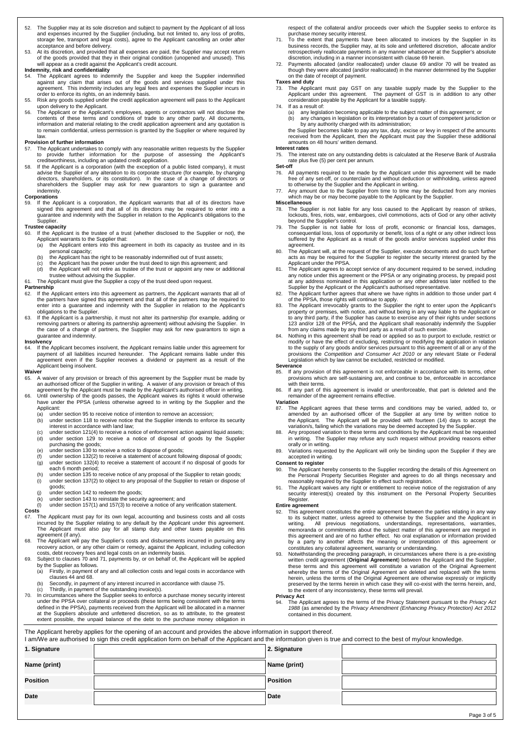- 52. The Supplier may at its sole discretion and subject to payment by the Applicant of all loss and expenses incurred by the Supplier (including, but not limited to, any loss of profits, storage fee, transport and legal costs), agree to the Applicant cancelling an order after
- acceptance and before delivery. 53. At its discretion, and provided that all expenses are paid, the Supplier may accept return of the goods provided that they in their original condition (unopened and unused). This will appear as a credit against the Applicant's credit account.

### **Indemnity, risk and confidentiality**

- The Applicant agrees to indemnify the Supplier and keep the Supplier indemnified against any claim that arises out of the goods and services supplied under this agreement. This indemnity includes any legal fees and expenses the Supplier incurs in
- order to enforce its rights, on an indemnity basis. 55. Risk any goods supplied under the credit application agreement will pass to the Applicant upon delivery to the Applicant.
- 56. The Applicant or the Applicant's employees, agents or contractors will not disclose the contents of these terms and conditions of trade to any other party. All documents, information and material relating to the credit application agreement and any quotation is to remain confidential, unless permission is granted by the Supplier or where required by

## law. **Provision of further information**

- 57. The Applicant undertakes to comply with any reasonable written requests by the Supplier to provide further information for the purpose of assessing the Applicant's creditworthiness, including an updated credit application.
- 58. If the Applicant is a corporation (with the exception of a public listed company), it must advise the Supplier of any alteration to its corporate structure (for example, by changing directors, shareholders, or its constitution). In the case of a change of directors or shareholders the Supplier may ask for new guarantors to sign a guarantee and indemnity.

### **Corporations**<br>59 If the Ar

59. If the Applicant is a corporation, the Applicant warrants that all of its directors have signed this agreement and that all of its directors may be required to enter into a guarantee and indemnity with the Supplier in relation to the Applicant's obligations to the **Supplier** 

#### **Trustee capacity**

- If the Applicant is the trustee of a trust (whether disclosed to the Supplier or not), the Applicant warrants to the Supplier that:<br>(a) the Applicant enters into this age
	- the Applicant enters into this agreement in both its capacity as trustee and in its personal capacity;
	-
	- (b) the Applicant has the right to be reasonably indemnified out of trust assets;<br>(c) the Applicant has the power under the trust deed to sign this agreement; and
	- (d) the Applicant will not retire as trustee of the trust or appoint any new or additional trustee without advising the Supplier.
- 61. The Applicant must give the Supplier a copy of the trust deed upon request.

### **Partnership**<br>62. If the A

- If the Applicant enters into this agreement as partners, the Applicant warrants that all of the partners have signed this agreement and that all of the partners may be required to enter into a guarantee and indemnity with the Supplier in relation to the Applicant's obligations to the Supplier.
- 63. If the Applicant is a partnership, it must not alter its partnership (for example, adding or removing partners or altering its partnership agreement) without advising the Supplier. In the case of a change of partners, the Supplier may ask for new guarantors to sign a guarantee and indemnity. **Insolvency**

64. If the Applicant becomes insolvent, the Applicant remains liable under this agreement for<br>payment of all liabilities incurred hereunder. The Applicant remains liable under this<br>agreement even if the Supplier receives a Applicant being insolvent.

#### **Waiver**

- 65. A waiver of any provision or breach of this agreement by the Supplier must be made by an authorised officer of the Supplier in writing. A waiver of any provision or breach of this<br>agreement by the Applicant must be made by the Applicant's authorised officer in writing.<br>66. Until ownership of the goods pa
- have under the PPSA (unless otherwise agreed to in writing by the Supplier and the
	- Applicant:<br>(a) unde<br>(b) unde (a) under section 95 to receive notice of intention to remove an accession; (b) under section 118 to receive notice that the Supplier intends to enforce its security interest in accordance with land law;
	- (c) under section 121(4) to receive a notice of enforcement action against liquid assets; under section 129 to receive a notice of disposal of goods by the Supplier
	- purchasing the goods; (e) under section 130 to receive a notice to dispose of goods;
	-
	- (f) under section 132(2) to receive a statement of account following disposal of goods;<br>(g) under section 132(4) to receive a statement of account if no disposal of goods fo under section  $132(4)$  to receive a statement of account if no disposal of goods for each 6 month period; (h) under section 135 to receive notice of any proposal of the Supplier to retain goods;
	- (i) under section 137(2) to object to any proposal of the Supplier to retain or dispose of goods;
	-
	- (j) under section 142 to redeem the goods;<br>(k) under section 143 to reinstate the security agreement; and (l) under section 157(1) and 157(3) to receive a notice of any verification statement.

# Costs

- The Applicant must pay for its own legal, accounting and business costs and all costs incurred by the Supplier relating to any default by the Applicant under this agreement. The Applicant must also pay for all stamp duty and other taxes payable on this
- <span id="page-2-2"></span>agreement (if any). 68. The Applicant will pay the Supplier's costs and disbursements incurred in pursuing any recovery action, or any other claim or remedy, against the Applicant, including collection costs, debt recovery fees and legal costs on an indemnity basis.
- <span id="page-2-4"></span>69. Subject to clause[s 70](#page-2-0) an[d 71,](#page-2-1) payments by, or on behalf of, the Applicant will be applied by the Supplier as follows.
	- (a) Firstly, in payment of any and all collection costs and legal costs in accordance with clause[s 44](#page-1-1) an[d 68.](#page-2-2)
	- (b) Secondly, in payment of any interest incurred in accordance with claus[e 75.](#page-2-3) (c) Thirdly, in payment of the outstanding invoice(s).
- <span id="page-2-0"></span>70. In circumstances where the Supplier seeks to enforce a purchase money security interest under the PPSA over collateral or proceeds (these terms being consistent with the terms defined in the PPSA), payments received from the Applicant will be allocated in a manner<br>at the Suppliers absolute and unfettered discretion, so as to attribute, to the greatest<br>extent possible, the unpaid balance of the d

**Date Date**

respect of the collateral and/or proceeds over which the Supplier seeks to enforce its purchase money security interest.

- <span id="page-2-1"></span>71. To the extent that payments have been allocated to invoices by the Supplier in its business records, the Supplier may, at its sole and unfettered discretion, allocate and/or retrospectively reallocate payments in any manner whatsoever at the Supplier's absolute
- discretion, including in a manner inconsistent with claus[e 69](#page-2-4) herein. 72. Payments allocated (and/or reallocated) under clause [69](#page-2-4) and/or [70](#page-2-0) will be treated as though they were allocated (and/or reallocated) in the manner determined by the Supplier on the date of receipt of payment. **Taxes and duty**

- 73. The Applicant must pay GST on any taxable supply made by the Supplier to the Applicant under this agreement. The payment of GST is in addition to any other consideration payable by the Applicant for a taxable supply. If as a result of:
	-
	- (a) any legislation becoming applicable to the subject matter of this agreement; or (b) any changes in legislation or its interpretation by a court of competent jurisdiction or

by any authority charged with its administration; the Supplier becomes liable to pay any tax, duty, excise or levy in respect of the amounts received from the Applicant, then the Applicant must pay the Supplier these additional amounts on 48 hours' written demand.

### **Interest rates**

<span id="page-2-3"></span>The interest rate on any outstanding debts is calculated at the Reserve Bank of Australia rate plus five (5) per cent per annum.

- **Set-off** 76. All payments required to be made by the Applicant under this agreement will be made free of any set-off, or counterclaim and without deduction or withholding, unless agreed to otherwise by the Supplier and the Applicant in writing.
- 77. Any amount due to the Supplier from time to time may be deducted from any monies which may be or may become payable to the Applicant by the Supplier. **Miscellaneous**
- 78. The Supplier is not liable for any loss caused to the Applicant by reason of strikes, lockouts, fires, riots, war, embargoes, civil commotions, acts of God or any other activity beyond the Supplier's control.
- 79. The Supplier is not liable for loss of profit, economic or financial loss, damages,<br>consequential loss, loss of opportunity or benefit, loss of a right or any other indirect loss<br>suffered by the Applicant as a result o
- agreement.<br>80. The Applicant will, at the request of the Supplier, execute documents and do such further<br>acts as may be required for the Supplier to register the security interest granted by the<br>Applicant under the PPSA.<br>8
- any notice under this agreement or the PPSA or any originating process, by prepaid post at any address nominated in this application or any other address later notified to the Supplier by the Applicant or the Applicant's authorised representative.
- 82. The Applicant further agrees that where we have rights in addition to those under part 4<br>The PPSA, those rights will continue to apply.<br>83. The Applicant irrevocably grants to the Supplier the right to enter upon t
- property or premises, with notice, and without being in any way liable to the Applicant or<br>to any third party, if the Supplier has cause to exercise any of their rights under sections<br>123 and/or 128 of the PPSA, and the Ap
- 84. Nothing in this agreement shall be read or applied so as to purport to exclude, restrict or modify or have the effect of excluding, restricting or modifying the application in relation to the supply of any goods and/or services pursuant to this agreement of all or any of the<br>provisions the *Competition and Consumer Act 2010* or any relevant State or Federal<br>Legislation which by law cannot be excluded, re

### **Severance**<br>85. If any

- If any provision of this agreement is not enforceable in accordance with its terms, other provisions which are self-sustaining are, and continue to be, enforceable in accordance with their terms.
- 86. If any part of this agreement is invalid or unenforceable, that part is deleted and the remainder of the agreement remains effective.

#### **Variation**

- 87. The Applicant agrees that these terms and conditions may be varied, added to, or amended by an authorised officer of the Supplier at any time by written notice to the Applicant. The Applicant will be provided with fourteen (14) days to accept the variation/s, failing which the variations may be deemed accepted by the Supplier.
- 88. Any proposed variation to these terms and conditions by the Applicant must be requested in writing. The Supplier may refuse any such request without providing reasons either orally or in writing.
- 89. Variations requested by the Applicant will only be binding upon the Supplier if they are accepted in writing.

- **Consent to register** 90. The Applicant hereby consents to the Supplier recording the details of this Agreement on the Personal Property Securities Register and agrees to do all things necessary and reasonably required by the Supplier to effect such registration.
- 91. The Applicant waives any right or entitlement to receive notice of the registration of any security interest(s) created by this instrument on the Personal Property Securities Register.

### **Entire agreement**

- 92. This agreement constitutes the entire agreement between the parties relating in any way to its subject matter, unless agreed to otherwise by the Supplier and the Applicant in writing. All previous negotiations, understandings, representations, warranties, memoranda or commitments about the subject matter of this agreement are merged in this agreement and are of no further effect. No oral explanation or information provided by a party to another affects the meaning or interpretation of this agreement or constitutes any collateral agreement, warranty or understanding.
- 93. Notwithstanding the preceding paragraph, in circumstances where there is a pre-existing written credit agreement (**Original Agreement**) between the Applicant and the Supplier, these terms and this agreement will constitute a variation of the Original Agreement whereby the terms of the Original Agreement are deleted and replaced with the terms herein, unless the terms of the Original Agreement are otherwise expressly or implicitly<br>preserved by the terms herein in which case they will co-exist with the terms herein, and,<br>to the extent of any inconsistency, these

#### **Privacy Act**

94. The Applicant agrees to the terms of the Privacy Statement pursuant to the *Privacy Act 1988* (as amended by the *Privacy Amendment (Enhancing Privacy Protection) Act 2012* contained in this document.

The Applicant hereby applies for the opening of an account and provides the above information in support thereof. I am/We are authorised to sign this credit application form on behalf of the Applicant and the information given is true and correct to the best of my/our knowledge **1. Signature 2. Signature Name (print) Name (print) Position Position**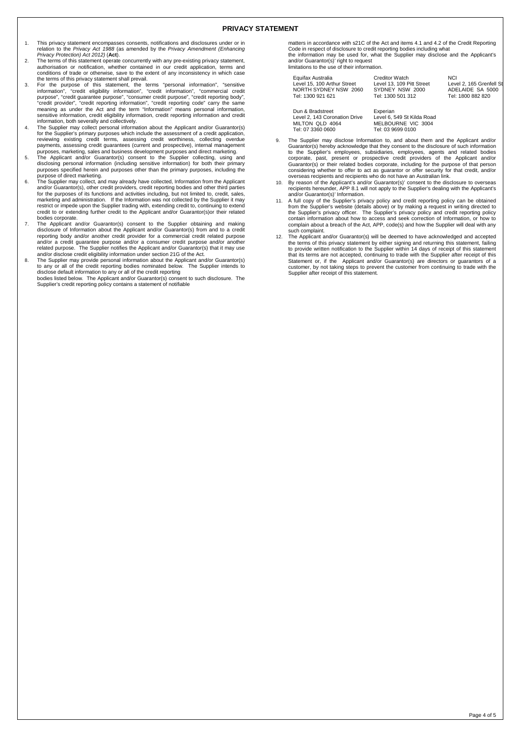- 1. This privacy statement encompasses consents, notifications and disclosures under or in relation to the *Privacy Act 1988* (as amended by the *Privacy Amendment (Enhancing Privacy Protection) Act 2012)* (**Act**).
- 2. The terms of this statement operate concurrently with any pre-existing privacy statement, authorisation or notification, whether contained in our credit application, terms and conditions of trade or otherwise, save to the extent of any inconsistency in which case the terms of this privacy statement shall prevail.
- 3. For the purpose of this statement, the terms "personal information", "sensitive information", "credit eligibility information", "credit information", "consumer credit purpose", "consumer credit purpose", "credit reporti sensitive information, credit eligibility information, credit reporting information and credit reporting information. information, both severally and collectively.
- 4. The Supplier may collect personal information about the Applicant and/or Guarantor(s) for the Supplier's primary purposes which include the assessment of a credit application, reviewing existing credit terms, assessing credit worthiness, collecting overdue payments, assessing credit guarantees (current and prospective), internal management
- purposes, marketing, sales and business development purposes and direct marketing.<br>5. The Applicant and/or Guarantor(s) consent to the Supplier collecting, using and<br>disclosing personal information (including sensitive inf purpose of direct marketing.
- 6. The Supplier may collect, and may already have collected, Information from the Applicant and/or Guarantor(s), other credit providers, credit reporting bodies and other third parties<br>for the purposes of its functions and activities including, but not limited to, credit, sales,<br>marketing and administration. If restrict or impede upon the Supplier trading with, extending credit to, continuing to extend credit to or extending further credit to the Applicant and/or Guarantor(s)or their related bodies corporate.
- 7. The Applicant and/or Guarantor(s) consent to the Supplier obtaining and making disclosure of Information about the Applicant and/or Guarantor(s) from and to a credit reporting body and/or another credit provider for a commercial credit related purpose and/or a credit guarantee purpose and/or a consumer credit purpose and/or another related purpose. The Supplier notifies the Applicant and/or Guarantor(s) that it may use and/or disclose credit eligibility information under section 21G of the Act.
- 8. The Supplier may provide personal information about the Applicant and/or Guarantor(s) to any or all of the credit reporting bodies nominated below. The Supplier intends to<br>disclose default information to any or all of the credit reporting<br>bodies listed below. The Applicant and/or Guarantor(s) consent to suc

Supplier's credit reporting policy contains a statement of notifiable

matters in accordance with s21C of the Act and items 4.1 and 4.2 of the Credit Reporting Code in respect of disclosure to credit reporting bodies including what the information may be used for, what the Supplier may disclose and the Applicant's and/or Guarantor(s)' right to request limitations to the use of their information.

| Equifax Australia           | <b>Creditor Watch</b>     | <b>NCI</b>               |
|-----------------------------|---------------------------|--------------------------|
| Level 15, 100 Arthur Street | Level 13, 109 Pitt Street | Level 2, 165 Grenfell St |
| NORTH SYDNEY NSW 2060       | SYDNEY NSW 2000           | ADELAIDE SA 5000         |
| Tel: 1300 921 621           | Tel: 1300 501 312         | Tel: 1800 882 820        |
|                             |                           |                          |

Dun & Bradstreet Level 2, 143 Coronation Drive MILTON QLD 4064

Tel: 07 3360 0600

Experian

Level 6, 549 St Kilda Road MELBOURNE VIC 3004 Tel: 03 9699 0100 9. The Supplier may disclose Information to, and about them and the Applicant and/or

- Guarantor(s) hereby acknowledge that they consent to the disclosure of such information<br>to the Supplier's employees, subsidiaries, employees, agents and related bodies<br>corporate, past, present or prospective credit provide overseas recipients and recipients who do not have an Australian link.
- 10. By reason of the Applicant's and/or Guarantor(s)' consent to the disclosure to overseas recipients hereunder, APP 8.1 will not apply to the Supplier's dealing with the Applicant's and/or Guarantor(s)' Information.
- 11. A full copy of the Supplier's privacy policy and credit reporting policy can be obtained from the Supplier's website (details above) or by making a request in writing directed to the Supplier's privacy officer. The Supplier's privacy policy and credit reporting policy<br>contain information about how to access and seek correction of Information, or how to<br>complain about a breach of the Act, APP, code( such complaint.
- 12. The Applicant and/or Guarantor(s) will be deemed to have acknowledged and accepted the terms of this privacy statement by either signing and returning this statement, failing to provide written notification to the Supplier within 14 days of receipt of this statement that its terms are not accepted, continuing to trade with the Supplier after receipt of this Statement or, if the Applicant and/or Guarantor(s) are directors or quarantors of a customer, by not taking steps to prevent the customer from continuing to trade with the Supplier after receipt of this statement.